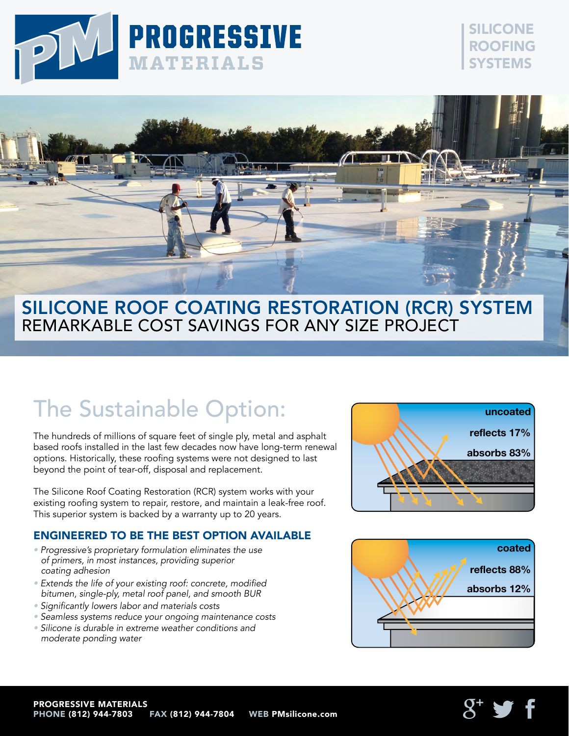

### SILICONE ROOFING **SYSTEMS**



### SILICONE ROOF COATING RESTORATION (RCR) SYSTEM REMARKABLE COST SAVINGS FOR ANY SIZE PROJECT

# The Sustainable Option:

The hundreds of millions of square feet of single ply, metal and asphalt based roofs installed in the last few decades now have long-term renewal options. Historically, these roofing systems were not designed to last beyond the point of tear-off, disposal and replacement.

The Silicone Roof Coating Restoration (RCR) system works with your existing roofing system to repair, restore, and maintain a leak-free roof. This superior system is backed by a warranty up to 20 years.

### ENGINEERED TO BE THE BEST OPTION AVAILABLE

- Progressive's proprietary formulation eliminates the use of primers, in most instances, providing superior coating adhesion
- Extends the life of your existing roof: concrete, modified bitumen, single-ply, metal roof panel, and smooth BUR
- Significantly lowers labor and materials costs
- Seamless systems reduce your ongoing maintenance costs
- Silicone is durable in extreme weather conditions and moderate ponding water